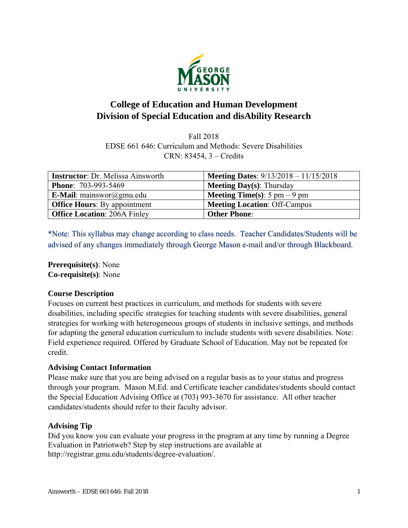

# **College of Education and Human Development Division of Special Education and disAbility Research**

Fall 2018 EDSE 661 646: Curriculum and Methods: Severe Disabilities CRN: 83454, 3 – Credits

| <b>Instructor:</b> Dr. Melissa Ainsworth | <b>Meeting Dates:</b> $9/13/2018 - 11/15/2018$         |
|------------------------------------------|--------------------------------------------------------|
| <b>Phone: 703-993-5469</b>               | <b>Meeting Day(s):</b> Thursday                        |
| <b>E-Mail</b> : mainswor@gmu.edu         | <b>Meeting Time(s)</b> : $5 \text{ pm} - 9 \text{ pm}$ |
| <b>Office Hours:</b> By appointment      | <b>Meeting Location: Off-Campus</b>                    |
| <b>Office Location: 206A Finley</b>      | <b>Other Phone:</b>                                    |

\*Note: This syllabus may change according to class needs. Teacher Candidates/Students will be advised of any changes immediately through George Mason e-mail and/or through Blackboard.

**Prerequisite(s)**: None **Co-requisite(s)**: None

# **Course Description**

Focuses on current best practices in curriculum, and methods for students with severe disabilities, including specific strategies for teaching students with severe disabilities, general strategies for working with heterogeneous groups of students in inclusive settings, and methods for adapting the general education curriculum to include students with severe disabilities. Note: Field experience required. Offered by Graduate School of Education. May not be repeated for credit.

# **Advising Contact Information**

Please make sure that you are being advised on a regular basis as to your status and progress through your program. Mason M.Ed. and Certificate teacher candidates/students should contact the Special Education Advising Office at (703) 993-3670 for assistance. All other teacher candidates/students should refer to their faculty advisor.

### **Advising Tip**

Did you know you can evaluate your progress in the program at any time by running a Degree Evaluation in Patriotweb? Step by step instructions are available at http://registrar.gmu.edu/students/degree-evaluation/.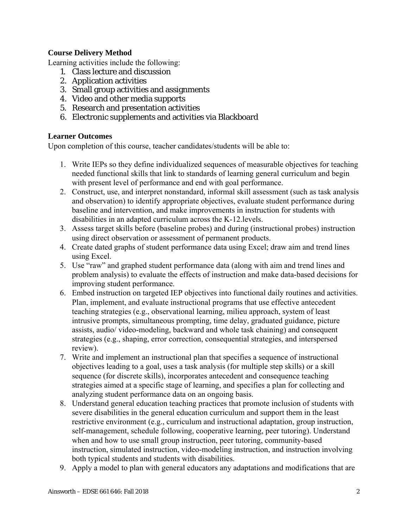# **Course Delivery Method**

Learning activities include the following:

- 1. Class lecture and discussion
- 2. Application activities
- 3. Small group activities and assignments
- 4. Video and other media supports
- 5. Research and presentation activities
- 6. Electronic supplements and activities via Blackboard

# **Learner Outcomes**

Upon completion of this course, teacher candidates/students will be able to:

- 1. Write IEPs so they define individualized sequences of measurable objectives for teaching needed functional skills that link to standards of learning general curriculum and begin with present level of performance and end with goal performance.
- 2. Construct, use, and interpret nonstandard, informal skill assessment (such as task analysis and observation) to identify appropriate objectives, evaluate student performance during baseline and intervention, and make improvements in instruction for students with disabilities in an adapted curriculum across the K-12.levels.
- 3. Assess target skills before (baseline probes) and during (instructional probes) instruction using direct observation or assessment of permanent products.
- 4. Create dated graphs of student performance data using Excel; draw aim and trend lines using Excel.
- 5. Use "raw" and graphed student performance data (along with aim and trend lines and problem analysis) to evaluate the effects of instruction and make data-based decisions for improving student performance.
- 6. Embed instruction on targeted IEP objectives into functional daily routines and activities. Plan, implement, and evaluate instructional programs that use effective antecedent teaching strategies (e.g., observational learning, milieu approach, system of least intrusive prompts, simultaneous prompting, time delay, graduated guidance, picture assists, audio/ video-modeling, backward and whole task chaining) and consequent strategies (e.g., shaping, error correction, consequential strategies, and interspersed review).
- 7. Write and implement an instructional plan that specifies a sequence of instructional objectives leading to a goal, uses a task analysis (for multiple step skills) or a skill sequence (for discrete skills), incorporates antecedent and consequence teaching strategies aimed at a specific stage of learning, and specifies a plan for collecting and analyzing student performance data on an ongoing basis.
- 8. Understand general education teaching practices that promote inclusion of students with severe disabilities in the general education curriculum and support them in the least restrictive environment (e.g., curriculum and instructional adaptation, group instruction, self-management, schedule following, cooperative learning, peer tutoring). Understand when and how to use small group instruction, peer tutoring, community-based instruction, simulated instruction, video-modeling instruction, and instruction involving both typical students and students with disabilities.
- 9. Apply a model to plan with general educators any adaptations and modifications that are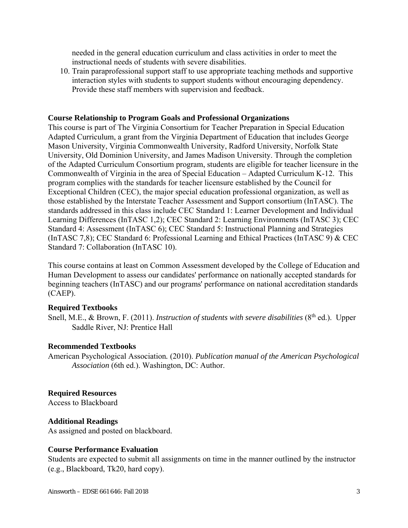needed in the general education curriculum and class activities in order to meet the instructional needs of students with severe disabilities.

10. Train paraprofessional support staff to use appropriate teaching methods and supportive interaction styles with students to support students without encouraging dependency. Provide these staff members with supervision and feedback.

#### **Course Relationship to Program Goals and Professional Organizations**

This course is part of The Virginia Consortium for Teacher Preparation in Special Education Adapted Curriculum, a grant from the Virginia Department of Education that includes George Mason University, Virginia Commonwealth University, Radford University, Norfolk State University, Old Dominion University, and James Madison University. Through the completion of the Adapted Curriculum Consortium program, students are eligible for teacher licensure in the Commonwealth of Virginia in the area of Special Education – Adapted Curriculum K-12. This program complies with the standards for teacher licensure established by the Council for Exceptional Children (CEC), the major special education professional organization, as well as those established by the Interstate Teacher Assessment and Support consortium (InTASC). The standards addressed in this class include CEC Standard 1: Learner Development and Individual Learning Differences (InTASC 1,2); CEC Standard 2: Learning Environments (InTASC 3); CEC Standard 4: Assessment (InTASC 6); CEC Standard 5: Instructional Planning and Strategies (InTASC 7,8); CEC Standard 6: Professional Learning and Ethical Practices (InTASC 9) & CEC Standard 7: Collaboration (InTASC 10).

This course contains at least on Common Assessment developed by the College of Education and Human Development to assess our candidates' performance on nationally accepted standards for beginning teachers (InTASC) and our programs' performance on national accreditation standards (CAEP).

#### **Required Textbooks**

Snell, M.E., & Brown, F. (2011). *Instruction of students with severe disabilities* (8<sup>th</sup> ed.). Upper Saddle River, NJ: Prentice Hall

#### **Recommended Textbooks**

American Psychological Association*.* (2010). *Publication manual of the American Psychological Association* (6th ed.). Washington, DC: Author.

#### **Required Resources**

Access to Blackboard

#### **Additional Readings**

As assigned and posted on blackboard.

#### **Course Performance Evaluation**

Students are expected to submit all assignments on time in the manner outlined by the instructor (e.g., Blackboard, Tk20, hard copy).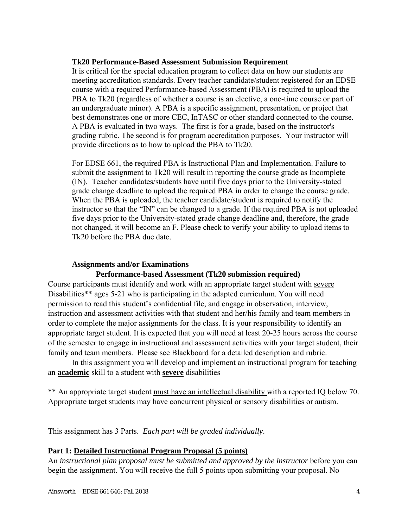#### **Tk20 Performance-Based Assessment Submission Requirement**

It is critical for the special education program to collect data on how our students are meeting accreditation standards. Every teacher candidate/student registered for an EDSE course with a required Performance-based Assessment (PBA) is required to upload the PBA to Tk20 (regardless of whether a course is an elective, a one-time course or part of an undergraduate minor). A PBA is a specific assignment, presentation, or project that best demonstrates one or more CEC, InTASC or other standard connected to the course. A PBA is evaluated in two ways. The first is for a grade, based on the instructor's grading rubric. The second is for program accreditation purposes. Your instructor will provide directions as to how to upload the PBA to Tk20.

For EDSE 661, the required PBA is Instructional Plan and Implementation. Failure to submit the assignment to Tk20 will result in reporting the course grade as Incomplete (IN). Teacher candidates/students have until five days prior to the University-stated grade change deadline to upload the required PBA in order to change the course grade. When the PBA is uploaded, the teacher candidate/student is required to notify the instructor so that the "IN" can be changed to a grade. If the required PBA is not uploaded five days prior to the University-stated grade change deadline and, therefore, the grade not changed, it will become an F. Please check to verify your ability to upload items to Tk20 before the PBA due date.

### **Assignments and/or Examinations**

### **Performance-based Assessment (Tk20 submission required)**

Course participants must identify and work with an appropriate target student with severe Disabilities\*\* ages 5-21 who is participating in the adapted curriculum. You will need permission to read this student's confidential file, and engage in observation, interview, instruction and assessment activities with that student and her/his family and team members in order to complete the major assignments for the class. It is your responsibility to identify an appropriate target student. It is expected that you will need at least 20-25 hours across the course of the semester to engage in instructional and assessment activities with your target student, their family and team members. Please see Blackboard for a detailed description and rubric.

In this assignment you will develop and implement an instructional program for teaching an **academic** skill to a student with **severe** disabilities

\*\* An appropriate target student must have an intellectual disability with a reported IQ below 70. Appropriate target students may have concurrent physical or sensory disabilities or autism.

This assignment has 3 Parts. *Each part will be graded individually*.

### **Part 1: Detailed Instructional Program Proposal (5 points)**

An *instructional plan proposal must be submitted and approved by the instructor* before you can begin the assignment. You will receive the full 5 points upon submitting your proposal. No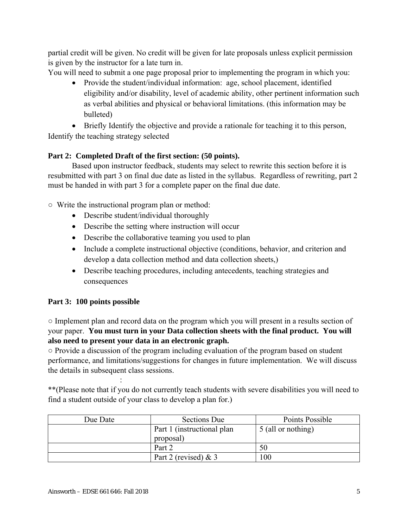partial credit will be given. No credit will be given for late proposals unless explicit permission is given by the instructor for a late turn in.

You will need to submit a one page proposal prior to implementing the program in which you:

- Provide the student/individual information: age, school placement, identified eligibility and/or disability, level of academic ability, other pertinent information such as verbal abilities and physical or behavioral limitations. (this information may be bulleted)
- Briefly Identify the objective and provide a rationale for teaching it to this person,

Identify the teaching strategy selected

# **Part 2: Completed Draft of the first section: (50 points).**

Based upon instructor feedback, students may select to rewrite this section before it is resubmitted with part 3 on final due date as listed in the syllabus. Regardless of rewriting, part 2 must be handed in with part 3 for a complete paper on the final due date.

○ Write the instructional program plan or method:

- Describe student/individual thoroughly
- Describe the setting where instruction will occur
- Describe the collaborative teaming you used to plan
- Include a complete instructional objective (conditions, behavior, and criterion and develop a data collection method and data collection sheets,)
- Describe teaching procedures, including antecedents, teaching strategies and consequences

# **Part 3: 100 points possible**

**Service State State** 

○ Implement plan and record data on the program which you will present in a results section of your paper. **You must turn in your Data collection sheets with the final product. You will also need to present your data in an electronic graph.** 

○ Provide a discussion of the program including evaluation of the program based on student performance, and limitations/suggestions for changes in future implementation. We will discuss the details in subsequent class sessions.

\*\*(Please note that if you do not currently teach students with severe disabilities you will need to find a student outside of your class to develop a plan for.)

| Due Date | <b>Sections Due</b>         | Points Possible    |
|----------|-----------------------------|--------------------|
|          | Part 1 (instructional plan) | 5 (all or nothing) |
|          | proposal)                   |                    |
|          | Part 2                      | 50                 |
|          | Part 2 (revised) $& 3$      | $\overline{00}$    |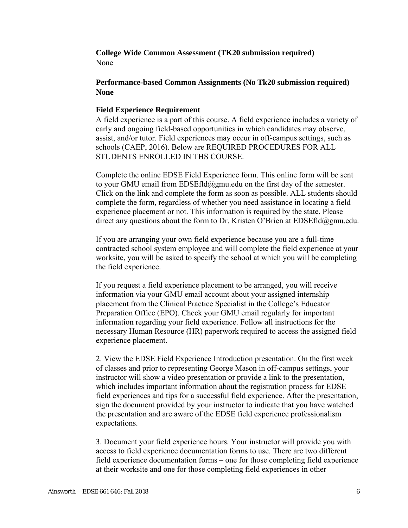**College Wide Common Assessment (TK20 submission required)**  None

# **Performance-based Common Assignments (No Tk20 submission required) None**

### **Field Experience Requirement**

A field experience is a part of this course. A field experience includes a variety of early and ongoing field-based opportunities in which candidates may observe, assist, and/or tutor. Field experiences may occur in off-campus settings, such as schools (CAEP, 2016). Below are REQUIRED PROCEDURES FOR ALL STUDENTS ENROLLED IN THS COURSE.

Complete the online EDSE Field Experience form. This online form will be sent to your GMU email from  $EDSEf1d@gmu.edu$  on the first day of the semester. Click on the link and complete the form as soon as possible. ALL students should complete the form, regardless of whether you need assistance in locating a field experience placement or not. This information is required by the state. Please direct any questions about the form to Dr. Kristen O'Brien at  $EDSEfd(\partial gmu.edu)$ .

If you are arranging your own field experience because you are a full-time contracted school system employee and will complete the field experience at your worksite, you will be asked to specify the school at which you will be completing the field experience.

If you request a field experience placement to be arranged, you will receive information via your GMU email account about your assigned internship placement from the Clinical Practice Specialist in the College's Educator Preparation Office (EPO). Check your GMU email regularly for important information regarding your field experience. Follow all instructions for the necessary Human Resource (HR) paperwork required to access the assigned field experience placement.

2. View the EDSE Field Experience Introduction presentation. On the first week of classes and prior to representing George Mason in off-campus settings, your instructor will show a video presentation or provide a link to the presentation, which includes important information about the registration process for EDSE field experiences and tips for a successful field experience. After the presentation, sign the document provided by your instructor to indicate that you have watched the presentation and are aware of the EDSE field experience professionalism expectations.

3. Document your field experience hours. Your instructor will provide you with access to field experience documentation forms to use. There are two different field experience documentation forms – one for those completing field experience at their worksite and one for those completing field experiences in other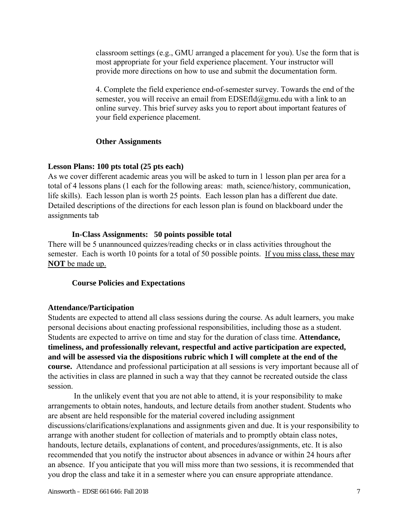classroom settings (e.g., GMU arranged a placement for you). Use the form that is most appropriate for your field experience placement. Your instructor will provide more directions on how to use and submit the documentation form.

4. Complete the field experience end-of-semester survey. Towards the end of the semester, you will receive an email from EDSEfld@gmu.edu with a link to an online survey. This brief survey asks you to report about important features of your field experience placement.

### **Other Assignments**

### **Lesson Plans: 100 pts total (25 pts each)**

As we cover different academic areas you will be asked to turn in 1 lesson plan per area for a total of 4 lessons plans (1 each for the following areas: math, science/history, communication, life skills). Each lesson plan is worth 25 points. Each lesson plan has a different due date. Detailed descriptions of the directions for each lesson plan is found on blackboard under the assignments tab

### **In-Class Assignments: 50 points possible total**

There will be 5 unannounced quizzes/reading checks or in class activities throughout the semester. Each is worth 10 points for a total of 50 possible points. If you miss class, these may **NOT** be made up.

# **Course Policies and Expectations**

# **Attendance/Participation**

Students are expected to attend all class sessions during the course. As adult learners, you make personal decisions about enacting professional responsibilities, including those as a student. Students are expected to arrive on time and stay for the duration of class time. **Attendance, timeliness, and professionally relevant, respectful and active participation are expected, and will be assessed via the dispositions rubric which I will complete at the end of the course.** Attendance and professional participation at all sessions is very important because all of the activities in class are planned in such a way that they cannot be recreated outside the class session.

 In the unlikely event that you are not able to attend, it is your responsibility to make arrangements to obtain notes, handouts, and lecture details from another student. Students who are absent are held responsible for the material covered including assignment discussions/clarifications/explanations and assignments given and due. It is your responsibility to arrange with another student for collection of materials and to promptly obtain class notes, handouts, lecture details, explanations of content, and procedures/assignments, etc. It is also recommended that you notify the instructor about absences in advance or within 24 hours after an absence. If you anticipate that you will miss more than two sessions, it is recommended that you drop the class and take it in a semester where you can ensure appropriate attendance.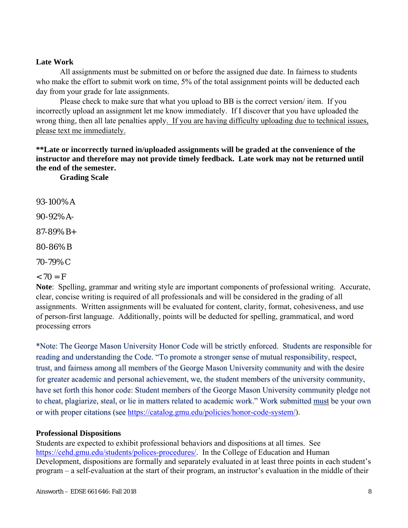### **Late Work**

All assignments must be submitted on or before the assigned due date. In fairness to students who make the effort to submit work on time, 5% of the total assignment points will be deducted each day from your grade for late assignments.

Please check to make sure that what you upload to BB is the correct version/ item. If you incorrectly upload an assignment let me know immediately. If I discover that you have uploaded the wrong thing, then all late penalties apply. If you are having difficulty uploading due to technical issues, please text me immediately.

**\*\*Late or incorrectly turned in/uploaded assignments will be graded at the convenience of the instructor and therefore may not provide timely feedback. Late work may not be returned until the end of the semester.**

**Grading Scale** 

93-100% A

90-92% A-

87-89% B+

80-86% B

70-79% C

### $< 70 = F$

**Note**: Spelling, grammar and writing style are important components of professional writing. Accurate, clear, concise writing is required of all professionals and will be considered in the grading of all assignments. Written assignments will be evaluated for content, clarity, format, cohesiveness, and use of person-first language. Additionally, points will be deducted for spelling, grammatical, and word processing errors

\*Note: The George Mason University Honor Code will be strictly enforced. Students are responsible for reading and understanding the Code. "To promote a stronger sense of mutual responsibility, respect, trust, and fairness among all members of the George Mason University community and with the desire for greater academic and personal achievement, we, the student members of the university community, have set forth this honor code: Student members of the George Mason University community pledge not to cheat, plagiarize, steal, or lie in matters related to academic work." Work submitted must be your own or with proper citations (see https://catalog.gmu.edu/policies/honor-code-system/).

### **Professional Dispositions**

Students are expected to exhibit professional behaviors and dispositions at all times. See https://cehd.gmu.edu/students/polices-procedures/. In the College of Education and Human Development, dispositions are formally and separately evaluated in at least three points in each student's program – a self-evaluation at the start of their program, an instructor's evaluation in the middle of their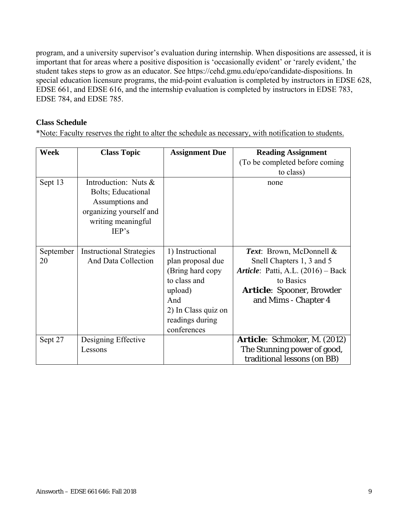program, and a university supervisor's evaluation during internship. When dispositions are assessed, it is important that for areas where a positive disposition is 'occasionally evident' or 'rarely evident,' the student takes steps to grow as an educator. See https://cehd.gmu.edu/epo/candidate-dispositions. In special education licensure programs, the mid-point evaluation is completed by instructors in EDSE 628, EDSE 661, and EDSE 616, and the internship evaluation is completed by instructors in EDSE 783, EDSE 784, and EDSE 785.

# **Class Schedule**

\*Note: Faculty reserves the right to alter the schedule as necessary, with notification to students.

| Week            | <b>Class Topic</b>                                                                                                      | <b>Assignment Due</b>                                                                                                                                 | <b>Reading Assignment</b><br>(To be completed before coming)<br>to class)                                                                                                    |
|-----------------|-------------------------------------------------------------------------------------------------------------------------|-------------------------------------------------------------------------------------------------------------------------------------------------------|------------------------------------------------------------------------------------------------------------------------------------------------------------------------------|
| Sept 13         | Introduction: Nuts &<br>Bolts; Educational<br>Assumptions and<br>organizing yourself and<br>writing meaningful<br>IEP's |                                                                                                                                                       | none                                                                                                                                                                         |
| September<br>20 | <b>Instructional Strategies</b><br>And Data Collection                                                                  | 1) Instructional<br>plan proposal due<br>(Bring hard copy)<br>to class and<br>upload)<br>And<br>2) In Class quiz on<br>readings during<br>conferences | Text: Brown, McDonnell &<br>Snell Chapters 1, 3 and 5<br><i>Article</i> : Patti, A.L. (2016) – Back<br>to Basics<br><b>Article:</b> Spooner, Browder<br>and Mims - Chapter 4 |
| Sept 27         | Designing Effective<br>Lessons                                                                                          |                                                                                                                                                       | <b>Article:</b> Schmoker, M. (2012)<br>The Stunning power of good,<br>traditional lessons (on BB)                                                                            |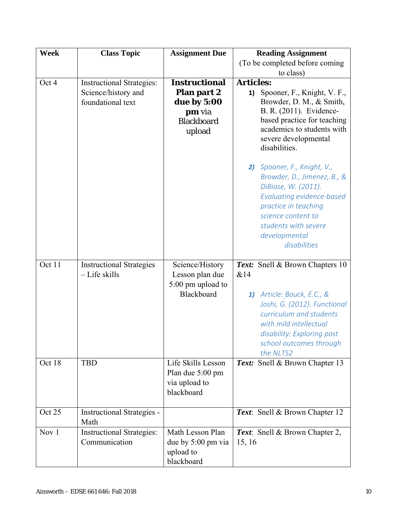| Week   | <b>Class Topic</b>                                                           | <b>Assignment Due</b>                                                                              | <b>Reading Assignment</b>                                                                                                                                                                                                                                                                                                                   |
|--------|------------------------------------------------------------------------------|----------------------------------------------------------------------------------------------------|---------------------------------------------------------------------------------------------------------------------------------------------------------------------------------------------------------------------------------------------------------------------------------------------------------------------------------------------|
|        |                                                                              |                                                                                                    | (To be completed before coming                                                                                                                                                                                                                                                                                                              |
|        |                                                                              |                                                                                                    | to class)                                                                                                                                                                                                                                                                                                                                   |
| Oct 4  | <b>Instructional Strategies:</b><br>Science/history and<br>foundational text | <b>Instructional</b><br><b>Plan part 2</b><br>due by 5:00<br>pm via<br><b>Blackboard</b><br>upload | <b>Articles:</b><br>Spooner, F., Knight, V. F.,<br>1)<br>Browder, D. M., & Smith,<br>B. R. (2011). Evidence-<br>based practice for teaching<br>academics to students with<br>severe developmental<br>disabilities.<br>2) Spooner, F., Knight, V.,<br>Browder, D., Jimenez, B., &<br>DiBiase, W. (2011).<br><b>Evaluating evidence-based</b> |
| Oct 11 | <b>Instructional Strategies</b>                                              | Science/History                                                                                    | practice in teaching<br>science content to<br>students with severe<br>developmental<br>disabilities<br><b>Text:</b> Snell & Brown Chapters 10                                                                                                                                                                                               |
|        | - Life skills                                                                | Lesson plan due                                                                                    | &14                                                                                                                                                                                                                                                                                                                                         |
|        |                                                                              | 5:00 pm upload to                                                                                  |                                                                                                                                                                                                                                                                                                                                             |
|        |                                                                              | Blackboard                                                                                         | 1) Article: Bouck, E.C., &<br>Joshi, G. (2012). Functional<br>curriculum and students<br>with mild intellectual<br>disability: Exploring post<br>school outcomes through<br>the NLTS2                                                                                                                                                       |
| Oct 18 | <b>TBD</b>                                                                   | Life Skills Lesson<br>Plan due 5:00 pm<br>via upload to<br>blackboard                              | Text: Snell & Brown Chapter 13                                                                                                                                                                                                                                                                                                              |
| Oct 25 | <b>Instructional Strategies -</b><br>Math                                    |                                                                                                    | Text: Snell & Brown Chapter 12                                                                                                                                                                                                                                                                                                              |
| Nov 1  | <b>Instructional Strategies:</b><br>Communication                            | Math Lesson Plan<br>due by 5:00 pm via<br>upload to<br>blackboard                                  | Text: Snell & Brown Chapter 2,<br>15, 16                                                                                                                                                                                                                                                                                                    |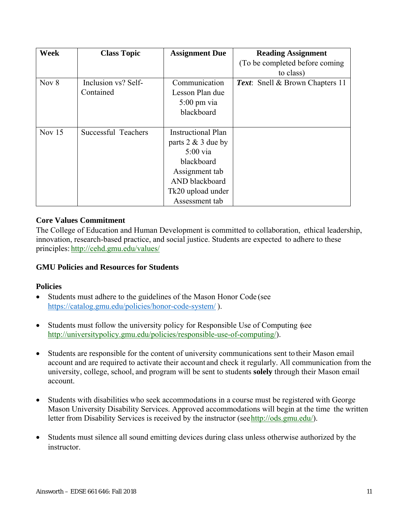| <b>Week</b> | <b>Class Topic</b>  | <b>Assignment Due</b> | <b>Reading Assignment</b>       |
|-------------|---------------------|-----------------------|---------------------------------|
|             |                     |                       | (To be completed before coming) |
|             |                     |                       | to class)                       |
| Nov $8$     | Inclusion vs? Self- | Communication         | Text: Snell & Brown Chapters 11 |
|             | Contained           | Lesson Plan due       |                                 |
|             |                     | $5:00 \text{ pm via}$ |                                 |
|             |                     | blackboard            |                                 |
|             |                     |                       |                                 |
| Nov $15$    | Successful Teachers | Instructional Plan    |                                 |
|             |                     | parts $2 \& 3$ due by |                                 |
|             |                     | $5:00$ via            |                                 |
|             |                     | blackboard            |                                 |
|             |                     | Assignment tab        |                                 |
|             |                     | AND blackboard        |                                 |
|             |                     | Tk20 upload under     |                                 |
|             |                     | Assessment tab        |                                 |

### **Core Values Commitment**

The College of Education and Human Development is committed to collaboration, ethical leadership, innovation, research-based practice, and social justice. Students are expected to adhere to these principles: http://cehd.gmu.edu/values/

### **GMU Policies and Resources for Students**

### **Policies**

- Students must adhere to the guidelines of the Mason Honor Code (see https://catalog.gmu.edu/policies/honor-code-system/ ).
- Students must follow the university policy for Responsible Use of Computing (see http://universitypolicy.gmu.edu/policies/responsible-use-of-computing/).
- Students are responsible for the content of university communications sent to their Mason email account and are required to activate their account and check it regularly. All communication from the university, college, school, and program will be sent to students **solely** through their Mason email account.
- Students with disabilities who seek accommodations in a course must be registered with George Mason University Disability Services. Approved accommodations will begin at the time the written letter from Disability Services is received by the instructor (see http://ods.gmu.edu/).
- Students must silence all sound emitting devices during class unless otherwise authorized by the instructor.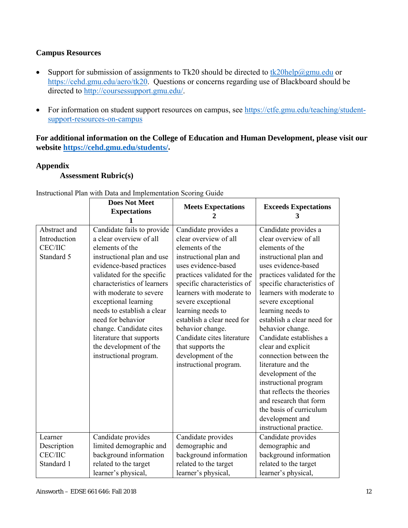# **Campus Resources**

- Support for submission of assignments to Tk20 should be directed to  $\frac{tk20\text{help@gmu.edu}}{tk20\text{help@gmu.edu}}$  or https://cehd.gmu.edu/aero/tk20. Questions or concerns regarding use of Blackboard should be directed to http://coursessupport.gmu.edu/.
- For information on student support resources on campus, see https://ctfe.gmu.edu/teaching/studentsupport-resources-on-campus

**For additional information on the College of Education and Human Development, please visit our website https://cehd.gmu.edu/students/.** 

# **Appendix**

# **Assessment Rubric(s)**

|                                                              | <b>Does Not Meet</b><br><b>Expectations</b>                                                                                                                                                                                                                                                                                                                                                                      | <b>Meets Expectations</b>                                                                                                                                                                                                                                                                                                                                                                                    | <b>Exceeds Expectations</b><br>3                                                                                                                                                                                                                                                                                                                                                                                                                                                                                                                                |
|--------------------------------------------------------------|------------------------------------------------------------------------------------------------------------------------------------------------------------------------------------------------------------------------------------------------------------------------------------------------------------------------------------------------------------------------------------------------------------------|--------------------------------------------------------------------------------------------------------------------------------------------------------------------------------------------------------------------------------------------------------------------------------------------------------------------------------------------------------------------------------------------------------------|-----------------------------------------------------------------------------------------------------------------------------------------------------------------------------------------------------------------------------------------------------------------------------------------------------------------------------------------------------------------------------------------------------------------------------------------------------------------------------------------------------------------------------------------------------------------|
| Abstract and<br>Introduction<br><b>CEC/IIC</b><br>Standard 5 | Candidate fails to provide<br>a clear overview of all<br>elements of the<br>instructional plan and use<br>evidence-based practices<br>validated for the specific<br>characteristics of learners<br>with moderate to severe<br>exceptional learning<br>needs to establish a clear<br>need for behavior<br>change. Candidate cites<br>literature that supports<br>the development of the<br>instructional program. | Candidate provides a<br>clear overview of all<br>elements of the<br>instructional plan and<br>uses evidence-based<br>practices validated for the<br>specific characteristics of<br>learners with moderate to<br>severe exceptional<br>learning needs to<br>establish a clear need for<br>behavior change.<br>Candidate cites literature<br>that supports the<br>development of the<br>instructional program. | Candidate provides a<br>clear overview of all<br>elements of the<br>instructional plan and<br>uses evidence-based<br>practices validated for the<br>specific characteristics of<br>learners with moderate to<br>severe exceptional<br>learning needs to<br>establish a clear need for<br>behavior change.<br>Candidate establishes a<br>clear and explicit<br>connection between the<br>literature and the<br>development of the<br>instructional program<br>that reflects the theories<br>and research that form<br>the basis of curriculum<br>development and |
| Learner<br>Description<br><b>CEC/IIC</b><br>Standard 1       | Candidate provides<br>limited demographic and<br>background information<br>related to the target<br>learner's physical,                                                                                                                                                                                                                                                                                          | Candidate provides<br>demographic and<br>background information<br>related to the target<br>learner's physical,                                                                                                                                                                                                                                                                                              | instructional practice.<br>Candidate provides<br>demographic and<br>background information<br>related to the target<br>learner's physical,                                                                                                                                                                                                                                                                                                                                                                                                                      |

Instructional Plan with Data and Implementation Scoring Guide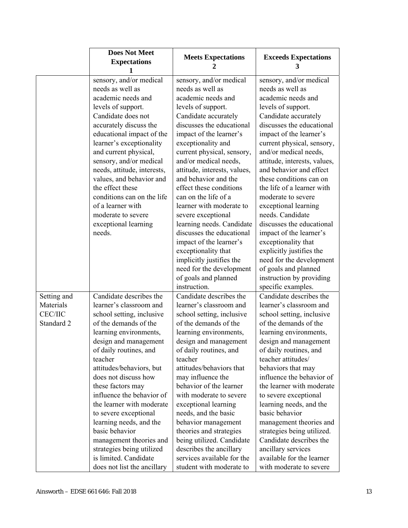|                          | <b>Does Not Meet</b><br><b>Expectations</b>        | <b>Meets Expectations</b>                          | <b>Exceeds Expectations</b><br>3                   |
|--------------------------|----------------------------------------------------|----------------------------------------------------|----------------------------------------------------|
|                          | sensory, and/or medical                            | sensory, and/or medical                            | sensory, and/or medical                            |
|                          | needs as well as                                   | needs as well as                                   | needs as well as                                   |
|                          | academic needs and                                 | academic needs and                                 | academic needs and                                 |
|                          | levels of support.                                 | levels of support.                                 | levels of support.                                 |
|                          | Candidate does not                                 | Candidate accurately                               | Candidate accurately                               |
|                          | accurately discuss the                             | discusses the educational                          | discusses the educational                          |
|                          | educational impact of the                          | impact of the learner's                            | impact of the learner's                            |
|                          | learner's exceptionality                           | exceptionality and                                 | current physical, sensory,                         |
|                          | and current physical,                              | current physical, sensory,                         | and/or medical needs,                              |
|                          | sensory, and/or medical                            | and/or medical needs,                              | attitude, interests, values,                       |
|                          | needs, attitude, interests,                        | attitude, interests, values,                       | and behavior and effect                            |
|                          | values, and behavior and                           | and behavior and the                               | these conditions can on                            |
|                          | the effect these                                   | effect these conditions                            | the life of a learner with                         |
|                          | conditions can on the life                         | can on the life of a                               | moderate to severe                                 |
|                          | of a learner with                                  | learner with moderate to                           | exceptional learning                               |
|                          | moderate to severe                                 | severe exceptional                                 | needs. Candidate                                   |
|                          | exceptional learning                               | learning needs. Candidate                          | discusses the educational                          |
|                          | needs.                                             | discusses the educational                          | impact of the learner's                            |
|                          |                                                    | impact of the learner's                            | exceptionality that                                |
|                          |                                                    | exceptionality that                                | explicitly justifies the                           |
|                          |                                                    | implicitly justifies the                           | need for the development                           |
|                          |                                                    | need for the development                           | of goals and planned                               |
|                          |                                                    | of goals and planned                               | instruction by providing                           |
|                          |                                                    | instruction.                                       | specific examples.<br>Candidate describes the      |
| Setting and<br>Materials | Candidate describes the<br>learner's classroom and | Candidate describes the<br>learner's classroom and | learner's classroom and                            |
| <b>CEC/IIC</b>           |                                                    | school setting, inclusive                          |                                                    |
| Standard 2               | school setting, inclusive<br>of the demands of the | of the demands of the                              | school setting, inclusive<br>of the demands of the |
|                          | learning environments,                             | learning environments,                             | learning environments,                             |
|                          | design and management                              | design and management                              | design and management                              |
|                          | of daily routines, and                             | of daily routines, and                             | of daily routines, and                             |
|                          | teacher                                            | teacher                                            | teacher attitudes/                                 |
|                          | attitudes/behaviors, but                           | attitudes/behaviors that                           | behaviors that may                                 |
|                          | does not discuss how                               | may influence the                                  | influence the behavior of                          |
|                          | these factors may                                  | behavior of the learner                            | the learner with moderate                          |
|                          | influence the behavior of                          | with moderate to severe                            | to severe exceptional                              |
|                          | the learner with moderate                          | exceptional learning                               | learning needs, and the                            |
|                          | to severe exceptional                              | needs, and the basic                               | basic behavior                                     |
|                          | learning needs, and the                            | behavior management                                | management theories and                            |
|                          | basic behavior                                     | theories and strategies                            | strategies being utilized.                         |
|                          | management theories and                            | being utilized. Candidate                          | Candidate describes the                            |
|                          | strategies being utilized                          | describes the ancillary                            | ancillary services                                 |
|                          | is limited. Candidate                              | services available for the                         | available for the learner                          |
|                          | does not list the ancillary                        | student with moderate to                           | with moderate to severe                            |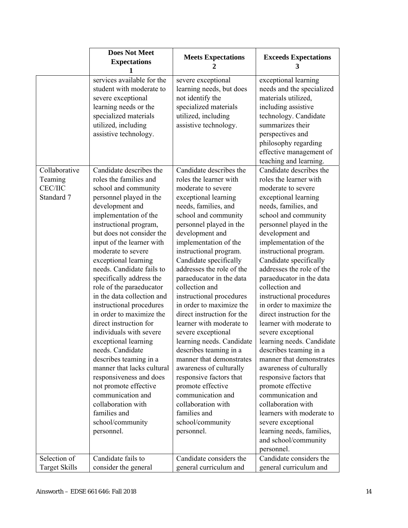|                      | <b>Does Not Meet</b><br><b>Expectations</b>                                                                                                                                    | <b>Meets Expectations</b><br>2                                                                                                              | <b>Exceeds Expectations</b><br>3                                                                                                                                                                                                              |
|----------------------|--------------------------------------------------------------------------------------------------------------------------------------------------------------------------------|---------------------------------------------------------------------------------------------------------------------------------------------|-----------------------------------------------------------------------------------------------------------------------------------------------------------------------------------------------------------------------------------------------|
|                      | services available for the<br>student with moderate to<br>severe exceptional<br>learning needs or the<br>specialized materials<br>utilized, including<br>assistive technology. | severe exceptional<br>learning needs, but does<br>not identify the<br>specialized materials<br>utilized, including<br>assistive technology. | exceptional learning<br>needs and the specialized<br>materials utilized,<br>including assistive<br>technology. Candidate<br>summarizes their<br>perspectives and<br>philosophy regarding<br>effective management of<br>teaching and learning. |
| Collaborative        | Candidate describes the                                                                                                                                                        | Candidate describes the                                                                                                                     | Candidate describes the                                                                                                                                                                                                                       |
| Teaming              | roles the families and                                                                                                                                                         | roles the learner with                                                                                                                      | roles the learner with                                                                                                                                                                                                                        |
| <b>CEC/IIC</b>       | school and community                                                                                                                                                           | moderate to severe                                                                                                                          | moderate to severe                                                                                                                                                                                                                            |
| Standard 7           | personnel played in the                                                                                                                                                        | exceptional learning                                                                                                                        | exceptional learning                                                                                                                                                                                                                          |
|                      | development and<br>implementation of the                                                                                                                                       | needs, families, and<br>school and community                                                                                                | needs, families, and<br>school and community                                                                                                                                                                                                  |
|                      | instructional program,                                                                                                                                                         | personnel played in the                                                                                                                     | personnel played in the                                                                                                                                                                                                                       |
|                      | but does not consider the                                                                                                                                                      | development and                                                                                                                             | development and                                                                                                                                                                                                                               |
|                      | input of the learner with                                                                                                                                                      | implementation of the                                                                                                                       | implementation of the                                                                                                                                                                                                                         |
|                      | moderate to severe                                                                                                                                                             | instructional program.                                                                                                                      | instructional program.                                                                                                                                                                                                                        |
|                      | exceptional learning                                                                                                                                                           | Candidate specifically                                                                                                                      | Candidate specifically                                                                                                                                                                                                                        |
|                      | needs. Candidate fails to                                                                                                                                                      | addresses the role of the                                                                                                                   | addresses the role of the                                                                                                                                                                                                                     |
|                      | specifically address the                                                                                                                                                       | paraeducator in the data                                                                                                                    | paraeducator in the data                                                                                                                                                                                                                      |
|                      | role of the paraeducator                                                                                                                                                       | collection and                                                                                                                              | collection and                                                                                                                                                                                                                                |
|                      | in the data collection and                                                                                                                                                     | instructional procedures                                                                                                                    | instructional procedures                                                                                                                                                                                                                      |
|                      | instructional procedures                                                                                                                                                       | in order to maximize the                                                                                                                    | in order to maximize the                                                                                                                                                                                                                      |
|                      | in order to maximize the<br>direct instruction for                                                                                                                             | direct instruction for the<br>learner with moderate to                                                                                      | direct instruction for the<br>learner with moderate to                                                                                                                                                                                        |
|                      | individuals with severe                                                                                                                                                        | severe exceptional                                                                                                                          | severe exceptional                                                                                                                                                                                                                            |
|                      | exceptional learning                                                                                                                                                           | learning needs. Candidate                                                                                                                   | learning needs. Candidate                                                                                                                                                                                                                     |
|                      | needs. Candidate                                                                                                                                                               | describes teaming in a                                                                                                                      | describes teaming in a                                                                                                                                                                                                                        |
|                      | describes teaming in a                                                                                                                                                         | manner that demonstrates                                                                                                                    | manner that demonstrates                                                                                                                                                                                                                      |
|                      | manner that lacks cultural                                                                                                                                                     | awareness of culturally                                                                                                                     | awareness of culturally                                                                                                                                                                                                                       |
|                      | responsiveness and does                                                                                                                                                        | responsive factors that                                                                                                                     | responsive factors that                                                                                                                                                                                                                       |
|                      | not promote effective                                                                                                                                                          | promote effective                                                                                                                           | promote effective                                                                                                                                                                                                                             |
|                      | communication and                                                                                                                                                              | communication and                                                                                                                           | communication and                                                                                                                                                                                                                             |
|                      | collaboration with                                                                                                                                                             | collaboration with                                                                                                                          | collaboration with                                                                                                                                                                                                                            |
|                      | families and                                                                                                                                                                   | families and                                                                                                                                | learners with moderate to                                                                                                                                                                                                                     |
|                      | school/community                                                                                                                                                               | school/community                                                                                                                            | severe exceptional                                                                                                                                                                                                                            |
|                      | personnel.                                                                                                                                                                     | personnel.                                                                                                                                  | learning needs, families,                                                                                                                                                                                                                     |
|                      |                                                                                                                                                                                |                                                                                                                                             | and school/community<br>personnel.                                                                                                                                                                                                            |
| Selection of         | Candidate fails to                                                                                                                                                             | Candidate considers the                                                                                                                     | Candidate considers the                                                                                                                                                                                                                       |
| <b>Target Skills</b> |                                                                                                                                                                                |                                                                                                                                             |                                                                                                                                                                                                                                               |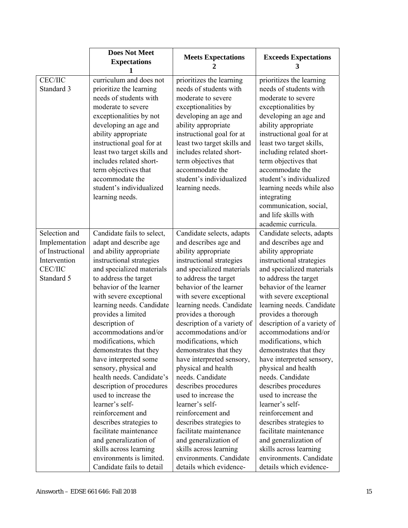|                                                                                                     | <b>Does Not Meet</b><br><b>Expectations</b>                                                                                                                                                                                                                                                                                                                                                                                                                                                                                                                                                                                                                                                                          | <b>Meets Expectations</b><br>2                                                                                                                                                                                                                                                                                                                                                                                                                                                                                                                                                                                                                                                                                | <b>Exceeds Expectations</b><br>3                                                                                                                                                                                                                                                                                                                                                                                                                                                                                                                                                                                                                                                                              |
|-----------------------------------------------------------------------------------------------------|----------------------------------------------------------------------------------------------------------------------------------------------------------------------------------------------------------------------------------------------------------------------------------------------------------------------------------------------------------------------------------------------------------------------------------------------------------------------------------------------------------------------------------------------------------------------------------------------------------------------------------------------------------------------------------------------------------------------|---------------------------------------------------------------------------------------------------------------------------------------------------------------------------------------------------------------------------------------------------------------------------------------------------------------------------------------------------------------------------------------------------------------------------------------------------------------------------------------------------------------------------------------------------------------------------------------------------------------------------------------------------------------------------------------------------------------|---------------------------------------------------------------------------------------------------------------------------------------------------------------------------------------------------------------------------------------------------------------------------------------------------------------------------------------------------------------------------------------------------------------------------------------------------------------------------------------------------------------------------------------------------------------------------------------------------------------------------------------------------------------------------------------------------------------|
| <b>CEC/IIC</b><br>Standard 3                                                                        | curriculum and does not<br>prioritize the learning<br>needs of students with<br>moderate to severe<br>exceptionalities by not<br>developing an age and<br>ability appropriate<br>instructional goal for at<br>least two target skills and<br>includes related short-<br>term objectives that<br>accommodate the<br>student's individualized<br>learning needs.                                                                                                                                                                                                                                                                                                                                                       | prioritizes the learning<br>needs of students with<br>moderate to severe<br>exceptionalities by<br>developing an age and<br>ability appropriate<br>instructional goal for at<br>least two target skills and<br>includes related short-<br>term objectives that<br>accommodate the<br>student's individualized<br>learning needs.                                                                                                                                                                                                                                                                                                                                                                              | prioritizes the learning<br>needs of students with<br>moderate to severe<br>exceptionalities by<br>developing an age and<br>ability appropriate<br>instructional goal for at<br>least two target skills,<br>including related short-<br>term objectives that<br>accommodate the<br>student's individualized<br>learning needs while also<br>integrating<br>communication, social,                                                                                                                                                                                                                                                                                                                             |
|                                                                                                     |                                                                                                                                                                                                                                                                                                                                                                                                                                                                                                                                                                                                                                                                                                                      |                                                                                                                                                                                                                                                                                                                                                                                                                                                                                                                                                                                                                                                                                                               | and life skills with<br>academic curricula.                                                                                                                                                                                                                                                                                                                                                                                                                                                                                                                                                                                                                                                                   |
| Selection and<br>Implementation<br>of Instructional<br>Intervention<br><b>CEC/IIC</b><br>Standard 5 | Candidate fails to select,<br>adapt and describe age<br>and ability appropriate<br>instructional strategies<br>and specialized materials<br>to address the target<br>behavior of the learner<br>with severe exceptional<br>learning needs. Candidate<br>provides a limited<br>description of<br>accommodations and/or<br>modifications, which<br>demonstrates that they<br>have interpreted some<br>sensory, physical and<br>health needs. Candidate's<br>description of procedures<br>used to increase the<br>learner's self-<br>reinforcement and<br>describes strategies to<br>facilitate maintenance<br>and generalization of<br>skills across learning<br>environments is limited.<br>Candidate fails to detail | Candidate selects, adapts<br>and describes age and<br>ability appropriate<br>instructional strategies<br>and specialized materials<br>to address the target<br>behavior of the learner<br>with severe exceptional<br>learning needs. Candidate<br>provides a thorough<br>description of a variety of<br>accommodations and/or<br>modifications, which<br>demonstrates that they<br>have interpreted sensory,<br>physical and health<br>needs. Candidate<br>describes procedures<br>used to increase the<br>learner's self-<br>reinforcement and<br>describes strategies to<br>facilitate maintenance<br>and generalization of<br>skills across learning<br>environments. Candidate<br>details which evidence- | Candidate selects, adapts<br>and describes age and<br>ability appropriate<br>instructional strategies<br>and specialized materials<br>to address the target<br>behavior of the learner<br>with severe exceptional<br>learning needs. Candidate<br>provides a thorough<br>description of a variety of<br>accommodations and/or<br>modifications, which<br>demonstrates that they<br>have interpreted sensory,<br>physical and health<br>needs. Candidate<br>describes procedures<br>used to increase the<br>learner's self-<br>reinforcement and<br>describes strategies to<br>facilitate maintenance<br>and generalization of<br>skills across learning<br>environments. Candidate<br>details which evidence- |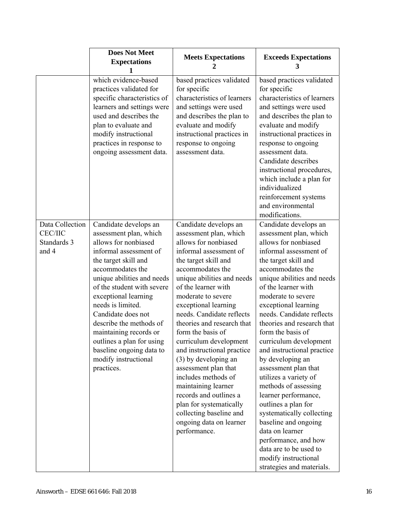|                                                           | <b>Does Not Meet</b><br><b>Expectations</b>                                                                                                                                                                                                                                                                                                                                                                                      | <b>Meets Expectations</b><br>2                                                                                                                                                                                                                                                                                                                                                                                                                                                                                                                                                                                    | <b>Exceeds Expectations</b><br>3                                                                                                                                                                                                                                                                                                                                                                                                                                                                                                                                                                                                                                                                                    |
|-----------------------------------------------------------|----------------------------------------------------------------------------------------------------------------------------------------------------------------------------------------------------------------------------------------------------------------------------------------------------------------------------------------------------------------------------------------------------------------------------------|-------------------------------------------------------------------------------------------------------------------------------------------------------------------------------------------------------------------------------------------------------------------------------------------------------------------------------------------------------------------------------------------------------------------------------------------------------------------------------------------------------------------------------------------------------------------------------------------------------------------|---------------------------------------------------------------------------------------------------------------------------------------------------------------------------------------------------------------------------------------------------------------------------------------------------------------------------------------------------------------------------------------------------------------------------------------------------------------------------------------------------------------------------------------------------------------------------------------------------------------------------------------------------------------------------------------------------------------------|
|                                                           | which evidence-based<br>practices validated for<br>specific characteristics of<br>learners and settings were<br>used and describes the<br>plan to evaluate and<br>modify instructional<br>practices in response to<br>ongoing assessment data.                                                                                                                                                                                   | based practices validated<br>for specific<br>characteristics of learners<br>and settings were used<br>and describes the plan to<br>evaluate and modify<br>instructional practices in<br>response to ongoing<br>assessment data.                                                                                                                                                                                                                                                                                                                                                                                   | based practices validated<br>for specific<br>characteristics of learners<br>and settings were used<br>and describes the plan to<br>evaluate and modify<br>instructional practices in<br>response to ongoing<br>assessment data.<br>Candidate describes<br>instructional procedures,<br>which include a plan for<br>individualized<br>reinforcement systems<br>and environmental<br>modifications.                                                                                                                                                                                                                                                                                                                   |
| Data Collection<br><b>CEC/IIC</b><br>Standards 3<br>and 4 | Candidate develops an<br>assessment plan, which<br>allows for nonbiased<br>informal assessment of<br>the target skill and<br>accommodates the<br>unique abilities and needs<br>of the student with severe<br>exceptional learning<br>needs is limited.<br>Candidate does not<br>describe the methods of<br>maintaining records or<br>outlines a plan for using<br>baseline ongoing data to<br>modify instructional<br>practices. | Candidate develops an<br>assessment plan, which<br>allows for nonbiased<br>informal assessment of<br>the target skill and<br>accommodates the<br>unique abilities and needs<br>of the learner with<br>moderate to severe<br>exceptional learning<br>needs. Candidate reflects<br>theories and research that<br>form the basis of<br>curriculum development<br>and instructional practice<br>(3) by developing an<br>assessment plan that<br>includes methods of<br>maintaining learner<br>records and outlines a<br>plan for systematically<br>collecting baseline and<br>ongoing data on learner<br>performance. | Candidate develops an<br>assessment plan, which<br>allows for nonbiased<br>informal assessment of<br>the target skill and<br>accommodates the<br>unique abilities and needs<br>of the learner with<br>moderate to severe<br>exceptional learning<br>needs. Candidate reflects<br>theories and research that<br>form the basis of<br>curriculum development<br>and instructional practice<br>by developing an<br>assessment plan that<br>utilizes a variety of<br>methods of assessing<br>learner performance,<br>outlines a plan for<br>systematically collecting<br>baseline and ongoing<br>data on learner<br>performance, and how<br>data are to be used to<br>modify instructional<br>strategies and materials. |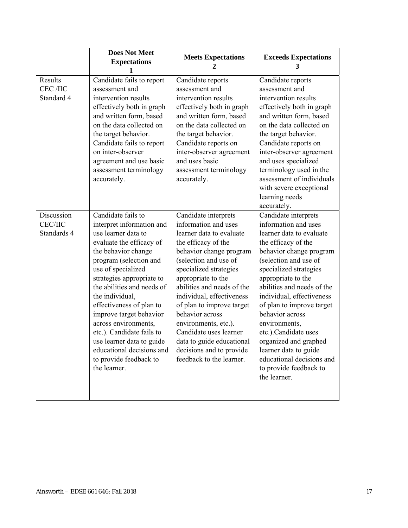|                                                    | <b>Does Not Meet</b><br><b>Expectations</b>                                                                                                                                                                                                                                                                                                                                                                                                                             | <b>Meets Expectations</b><br>2                                                                                                                                                                                                                                                                                                                                                                                                                        | <b>Exceeds Expectations</b><br>3                                                                                                                                                                                                                                                                                                                                                                                                                                                 |
|----------------------------------------------------|-------------------------------------------------------------------------------------------------------------------------------------------------------------------------------------------------------------------------------------------------------------------------------------------------------------------------------------------------------------------------------------------------------------------------------------------------------------------------|-------------------------------------------------------------------------------------------------------------------------------------------------------------------------------------------------------------------------------------------------------------------------------------------------------------------------------------------------------------------------------------------------------------------------------------------------------|----------------------------------------------------------------------------------------------------------------------------------------------------------------------------------------------------------------------------------------------------------------------------------------------------------------------------------------------------------------------------------------------------------------------------------------------------------------------------------|
| Results<br>CEC /IIC<br>Standard 4                  | Candidate fails to report<br>assessment and<br>intervention results<br>effectively both in graph<br>and written form, based<br>on the data collected on<br>the target behavior.<br>Candidate fails to report<br>on inter-observer<br>agreement and use basic<br>assessment terminology<br>accurately.                                                                                                                                                                   | Candidate reports<br>assessment and<br>intervention results<br>effectively both in graph<br>and written form, based<br>on the data collected on<br>the target behavior.<br>Candidate reports on<br>inter-observer agreement<br>and uses basic<br>assessment terminology<br>accurately.                                                                                                                                                                | Candidate reports<br>assessment and<br>intervention results<br>effectively both in graph<br>and written form, based<br>on the data collected on<br>the target behavior.<br>Candidate reports on<br>inter-observer agreement<br>and uses specialized<br>terminology used in the<br>assessment of individuals<br>with severe exceptional<br>learning needs<br>accurately.                                                                                                          |
| <b>Discussion</b><br><b>CEC/IIC</b><br>Standards 4 | Candidate fails to<br>interpret information and<br>use learner data to<br>evaluate the efficacy of<br>the behavior change<br>program (selection and<br>use of specialized<br>strategies appropriate to<br>the abilities and needs of<br>the individual,<br>effectiveness of plan to<br>improve target behavior<br>across environments,<br>etc.). Candidate fails to<br>use learner data to guide<br>educational decisions and<br>to provide feedback to<br>the learner. | Candidate interprets<br>information and uses<br>learner data to evaluate<br>the efficacy of the<br>behavior change program<br>(selection and use of<br>specialized strategies<br>appropriate to the<br>abilities and needs of the<br>individual, effectiveness<br>of plan to improve target<br>behavior across<br>environments, etc.).<br>Candidate uses learner<br>data to guide educational<br>decisions and to provide<br>feedback to the learner. | Candidate interprets<br>information and uses<br>learner data to evaluate<br>the efficacy of the<br>behavior change program<br>(selection and use of<br>specialized strategies<br>appropriate to the<br>abilities and needs of the<br>individual, effectiveness<br>of plan to improve target<br>behavior across<br>environments,<br>etc.).Candidate uses<br>organized and graphed<br>learner data to guide<br>educational decisions and<br>to provide feedback to<br>the learner. |